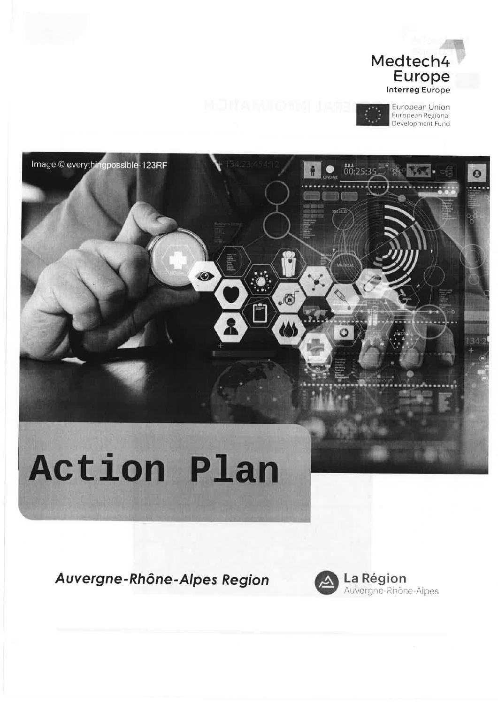

.®



Ω

# **Action Plan**

O

å

Image © everythingpossible-123RF

Auvergne-Rhône-Alpes Region



La Région<br>Auvergne-Rhône-Alpes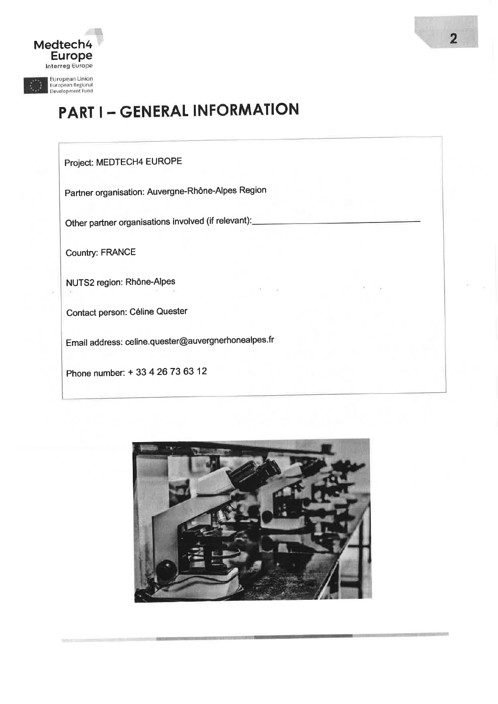

# **PART I - GENERAL INFORMATION**

### Project: MEDTECH4 EUROPE

Partner organisation: Auvergne-Rhône-Alpes Region

Other partner organisations involved (if relevant):

**Country: FRANCE** 

NUTS2 region: Rhône-Alpes

Contact person: Céline Quester

Email address: celine.quester@auvergnerhonealpes.fr

Phone number: + 33 4 26 73 63 12

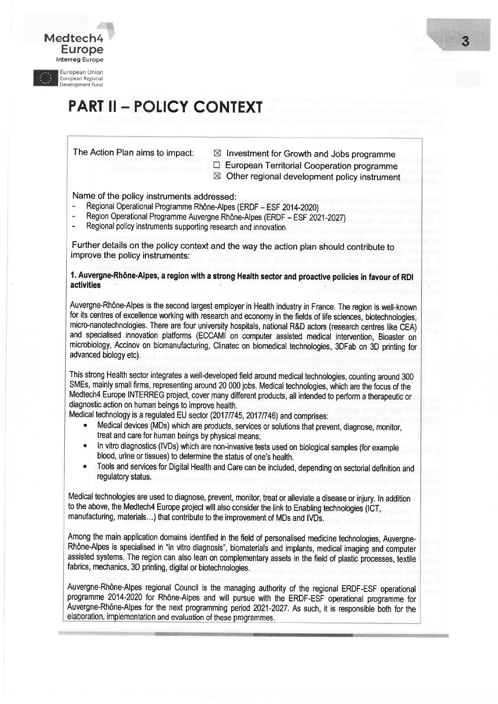

Medtech4 Europe lnterreg Europe

## **PART II - POLICY CONTEXT**

t

- The Action Plan aims to impact:  $\boxtimes$  Investment for Growth and Jobs programme
	-
	- $\Box$  European Territorial Cooperation programme  $\boxtimes$  Other regional development policy instrument

Name of the policy instruments addressed:

- Regional Operational Programme Rhône-Alpes (ERDF ESF 2014-2020)
- Region Operational Programme Auvergne Rhône-Alpes (ERDF ESF 2021-2027)
- Regional policy instruments supporting research and innovation

Further details on the policy context and the way the action plan should contribute to improve the policy instruments:

#### 1. Auvergne.Rhône-Alpes, a region with a strong Health sector and proactive policies in favour of RDI activities

Auvergne-Rhône-Alpes is the second largest employer in Health industry in France, The region is well-known for its centres of excellence working with research and economy in the fields of life sciences, biotechnologies, micro-nanotechnologies. There are four university hospitals, national R&D actors (research centres like CEA) and specialised innovation platforms (ECCAMI on computer assisted medical intervention, Bioaster on microbiology, Accinov on biomanufacturing, Clinatec on biomedical technologies, 3DFab on 3D printing for advanced biology etc).

This strong Health sector integrates a well-developed field around medical technologies, counting around 300 SMEs, mainly small firms, representing around 20 000 jobs. Medical technologies, which are the focus of the Medtech4 Europe INTERREG project, cover many different products, all intended to perform a therapeutic or diagnostic action on human beings to improve health.

Medical technology is a regulated EU sector (2017/745, 2017/746) and comprises:

- . Medical devices (MDs) which are products, services or solutions that prevent, diagnose, monitor, treat and care for human beings by physical means;
- . ln vitro diagnostics (lVDs) which are non-invasive tests used on biological samples (for example blood, urine or tissues) to determine the status of one's health.
- . Tools and services for Digital Health and Care can be included, depending on sectorial definition and regulatory status.

Medical technologies are used to diagnose, prevent, monitor, treat or alleviate a disease or injury. ln addition to the above, the Medtech4 Europe project will also consider the link to Enabling technologies (ICT, manufacturing, materials...) that contribute to the improvement of MDs and IVDs.

Among the main application domains identified in the field of personalised medicine technologies, Auvergne-Rhône-Alpes is specialised in "in vitro diagnosis", biomaterials and implants, medical imaging and computer assisted systems. The region can also lean on complementary assets in the field of plastic processes, textile fabrics, mechanics, 3D printing, digital or biotechnologies.

Auvergne-Rhône-Alpes regional Council is the managing authority of the regional ERDF-ESF operational programme 2014-2020 for Rhône-Alpes and will pursue with the ERDF-ESF operational programme for Auvergne-Rhône-Alpes for the next programming period 2021-2027 , As such, it is responsible both for the elaboration, implementation and evaluation of these programmes.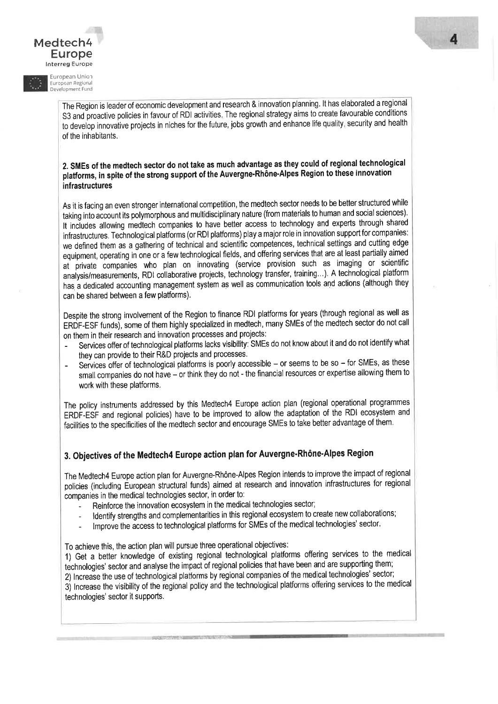Medtech4 Europe Interreg Europe

**European Union** European Regional Development Fund

> The Region is leader of economic development and research & innovation planning. It has elaborated a regional S3 and proactive policies in favour of RDI activities. The regional strategy aims to create favourable conditions to develop innovative projects in niches for the future, jobs growth and enhance life quality, security and health of the inhabitants.

#### 2. SMEs of the medtech sector do not take as much advantage as they could of regional technological platforms, in spite of the strong support of the Auvergne-Rhône-Alpes Region to these innovation infrastructures

As it is facing an even stronger international competition, the medtech sector needs to be better structured while taking into account its polymorphous and multidisciplinary nature (from materials to human and social sciences). It includes allowing medtech companies to have better access to technology and experts through shared infrastructures. Technological platforms (or RDI platforms) play a major role in innovation support for companies: we defined them as a gathering of technical and scientific competences, technical settings and cutting edge equipment, operating in one or a few technological fields, and offering services that are at least partially aimed at private companies who plan on innovating (service provision such as imaging or scientific analysis/measurements, RDI collaborative projects, technology transfer, training...). A technological platform has a dedicated accounting management system as well as communication tools and actions (although they can be shared between a few platforms).

Despite the strong involvement of the Region to finance RDI platforms for years (through regional as well as ERDF-ESF funds), some of them highly specialized in medtech, many SMEs of the medtech sector do not call on them in their research and innovation processes and projects:

- Services offer of technological platforms lacks visibility: SMEs do not know about it and do not identify what they can provide to their R&D projects and processes.
- Services offer of technological platforms is poorly accessible or seems to be so for SMEs, as these small companies do not have - or think they do not - the financial resources or expertise allowing them to work with these platforms.

The policy instruments addressed by this Medtech4 Europe action plan (regional operational programmes ERDF-ESF and regional policies) have to be improved to allow the adaptation of the RDI ecosystem and facilities to the specificities of the medtech sector and encourage SMEs to take better advantage of them.

#### 3. Objectives of the Medtech4 Europe action plan for Auvergne-Rhône-Alpes Region

The Medtech4 Europe action plan for Auvergne-Rhône-Alpes Region intends to improve the impact of regional policies (including European structural funds) aimed at research and innovation infrastructures for regional companies in the medical technologies sector, in order to:

- Reinforce the innovation ecosystem in the medical technologies sector;
- Identify strengths and complementarities in this regional ecosystem to create new collaborations;
- Improve the access to technological platforms for SMEs of the medical technologies' sector.

To achieve this, the action plan will pursue three operational objectives:

1) Get a better knowledge of existing regional technological platforms offering services to the medical technologies' sector and analyse the impact of regional policies that have been and are supporting them; 2) Increase the use of technological platforms by regional companies of the medical technologies' sector; 3) Increase the visibility of the regional policy and the technological platforms offering services to the medical technologies' sector it supports.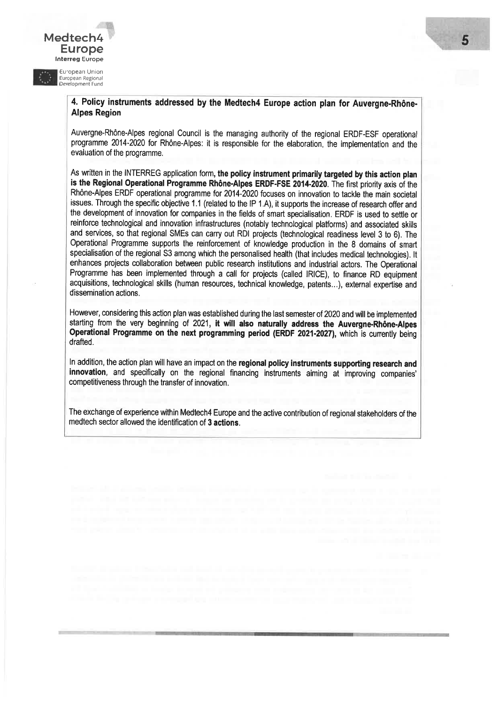# Europe

Medtech4

European Union<br>European Regional<br>Development Fund

Ë

#### 4. Policy instruments addressed by the Medtech4 Europe action plan for Auvergne.Rhône-Alpes Region

Auvergne-Rhône-Alpes regional Council is the managing authority of the regional ERDF-ESF operational programme 2014-2020 for RhÔne-Alpes: it is responsible for the elaboration, the implementation and the evaluation of the programme.

As written in the INTERREG application form, the policy instrument primarily targeted by this action plan is the Regional Operational Programme Rhône-Alpes ERDF.FSE 2014-2020. The first priority axis of the Rhône-Alpes ERDF operational programme for 2014-2020 focuses on innovation to tackle the main societal issues. Through the specific objective 1.1 (related to the lP 1.A), it supports the increase of research offer and the development of innovation for companies in the fields of smart specialisation. ERDF is used to setfle or reinforce technological and innovation infrastructures (notably technological platforms) and associated skills and services, so that regional SMEs can carry out RDI projects (technological readiness level 3 to 6), The Operational Programme supports the reinforcement of knowledge production in the 8 domains of smart specialisation of the regional S3 among which the personalised health (that includes medical technologies). It enhances projects collaboration between public research institutions and industrial actors, The Operational Programme has been implemented through a call for projects (called IRICE), to finance RD equipment acquisitions, technological skills (human resources, technical knowledge, patents...), external expertise and dissemination actions.

However, considering this action plan was established during the last semesterof 2020 andwill be implemented starting from the very beginning of 2021, it will also naturally address the Auvergne-Rhône-Alpes Operational Programme on the next programming period (ERDF 2021-2027), which is currently being drafted.

ln addition, the action plan will have an impact on the regional policy instruments supporting research and innovation, and specifically on the regional financing instruments aiming at improving companies' competitiveness through the transfer of innovation,

The exchange of experience within Medtech4 Europe and the active contribution of regional stakeholders of the medtech sector allowed the identification of 3 actions.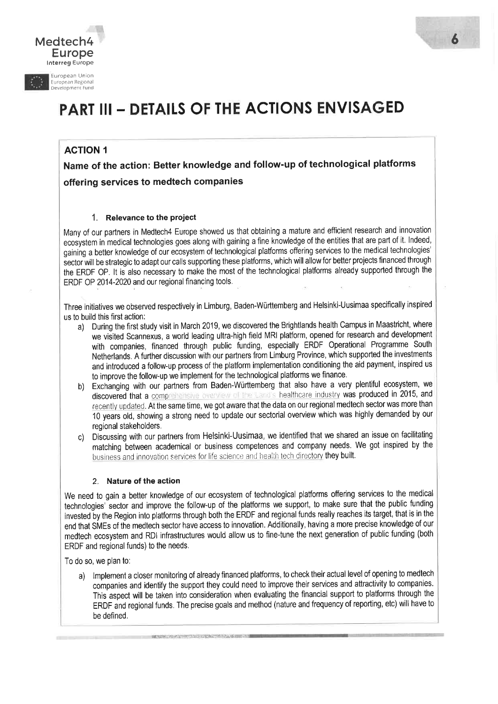



European Union Êuropean Regional Development Fund

# PART III - DETAILS OF THE ACTIONS ENVISAGED

#### ACTION 1

Name of the action: Better knowledge and follow-up of technological platformsoffering services to medtech companies

#### 1. Relevance to the project

Many of our partners in Medtech4 Europe showed us that obtaining a mature and efficient research and innovation ecosystem in medical technologies goes along with gaining a fine knowledge of the entities that are part of it. lndeed, gainihg a better knowledge of our ecosystem of technological platforms offering services to the medical technologies' sector will be strategic to adapt our calls supporting these platforms, which will allow for better projects financed through the ERDF OP. It is also necessary to make the most of the technological platforms already supported through the ERDF OP 2014-2020 and our regional financing tools.

Three initiatives we observed respectively in Limburg, Baden-Wùrttemberg and Helsinki-Uusimaa specifically inspiredus to build this first action:

- a) During the first study visit in March 2019, we discovered the Brightlands health Campus in Maastricht, where ' we visited Scannexus, a world leading ultra-high field MRI platform, opened for research and development with companies, financed through public funding, especially ERDF Operational Programme South Netherlands, A further discussion with our parlners from Limburg Province, which supported the investments and introduced a follow-up process of the platform implementation conditioning the aid payment, inspired us to improve the follow-up we implement for the technological platforms we finance.
- b) Exchanging with our partners from Baden-Württemberg that also have a very plentiful ecosystem, we discovered that a comprehensive overview of the Land's healthcare industry was produced in 2015, and recently updated. At the same time, we got aware that the data on our regional medtech sector was more than <sup>10</sup>years old, showing a strong need to update our sectorial overview which was highly demanded by our regional stakeholders.
- c) Discussing with our partners from Helsinki-Uusimaa, we identified that we shared an issue on facilitating matching between academical or business competences and company needs. We got inspired by the business and innovation services for life science and health tech directory they built.

#### 2. Nature of the action

We need to gain a better knowledge of our ecosystem of technological platforms offering services to the medica technologies' sector and improve the follow-up of the platforms we support, to make sure that the public funding invested by the Region into platforms through both the ERDF and regional funds really reaches its target, that is in the end that SMEs of the medtech sector have access to innovation. Additionally, having a more precise knowledge of our medtech ecosystem and RDI infrastructures would allow us to fine-tune the next generation of public funding (both ERDF and regional funds) to the needs.

To do so, we plan to:

a) lmplement a closer monitoring of already financed platforms, to check their actual level of opening to medtech ' companies and identify the support they could need to improve their services and attractivity to companies. This aspect will be taken into consideration when evaluating the financial support to platforms through the ERDF and regional funds. The precise goals and method (nature and frequency of reporting, etc) will have tobe defined,

in istë i tatë i tatë i dhe shqipë i tatë i tatë i tatë i tatë i tatë i tatë i tatë i tatë i tatë i tatë i ta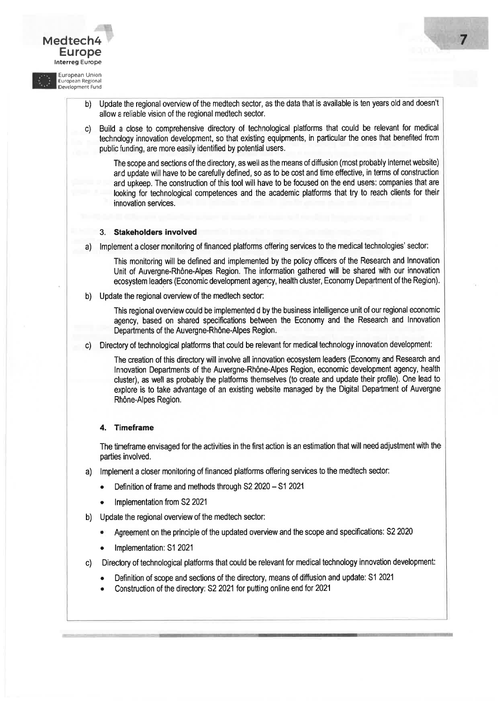Medtech<sup>2</sup> Europe lnterreg Europe European Union European Regional<br>Development Fund b) Update the regional overview of the medtech sector, as the data that is available is ten years old and doesn't allow a reliable vision of the regional medtech sector. c) Build a close to comprehensive directory of technological platforms that could be relevant for medical technology innovation development, so that existing equipments, in particular the ones that benefited from public funding, are more easily identified by potential users. The scope and sections of the directory, as well as the means of diffusion (most probably Internet website) and update will have to be carefully defined, so as to be cost and time effective, in terms of construction and upkeep, The construction of this tool will have to be focused on the end users: companies that are looking for technological competences and the academic platforms that try to reach clients for their innovation services. 3. Stakeholders involved a) lmplement a closer monitoring of financed platforms offering services to the medical technologies' sector: This monitoring will be defined and implemented by the policy officers of the Research and Innovation Unit of Auvergne-Rhône-Alpes Region. The information gathered will be shared with our innovation ecosystem leaders (Economic development agency, health cluster, Economy Department of the Region), b) Update the regional overview of the medtech sector: This regional overview could be implemented d by the business intelligence unit of our regional economic agency, based on shared specifications between the Economy and the Research and lnnovation Departments of the Auvergne-Rhône-Alpes Region. c) Directory of technological platforms that could be relevant for medical technology innovation development: The creation of this directory will involve all innovation ecosystem leaders (Economy and Research and lnnovation Departments of the Auvergne-Rhône-Alpes Region, economic development agency, health clusler), as well as probably the platforms themselves (to create and update their profile). One lead to explore is to take advantage of an existing website managed by the Digital Department of Auvergne Rhône-Alpes Region. 4. Timeframe The timeframe envisaged for the activities in the first action is an estimation that will need adjustment with the parties involved. a) lmplement a closer monitoring of financed platforms offering services to the medtech sector: • Definition of frame and methods through S2 2020 - S1 2021 Implementation from S2 2021 b) Update the regional overview of the medtech sector: Agreement on the principle of the updated overview and the scope and specifications: S2 2020 Implementation: S1 2021 c) Directory of technological platforms that could be relevant for medical technology innovation development: r Definition of scope and sections of the directory, means of diffusion and update: S1 <sup>2021</sup> Construction of the directory: S2 2021 for putting online end for 2021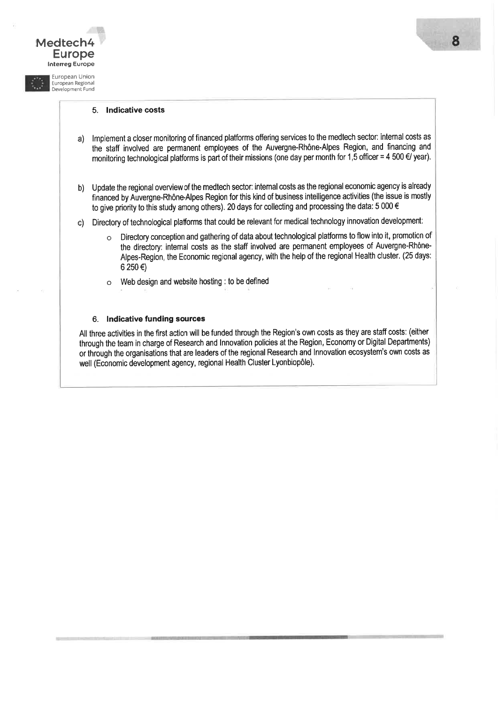#### 5. lndicative costs

Medtech4

 EuropeI<mark>nterreg</mark> Europe European Union Êuropean Regional Development Fund

- a) lmplement a closer monitoring of financed platforms offering services to the medtech sector: intemal costs as the staff involved are permanent employees of the Auvergne-Rhône-Alpes Region, and financing andmonitoring technological platforms is part of their missions (one day per month for 1,5 officer = 4 500 €/ year)
- b) Update the regional overview of the medtech sector: intemal costs as the regional economic agency is already financed by Auvergne-Rhône-Alpes Region for this kind of business intelligence activlties (the issue is mostlyto give priority to this study among othen). 20 days for collecting and processing the data: 5 000 €
- c) Directory of technological platforms that could be relevant for medical technology innovation development:
	- o Directory conception and gathering of data about technological platforms to flow into it, promotion of the directory: intemal costs as the staff involved are permanent employees of Auvergne-Rhône-Alpes-Region, the Economic regional agency, with the help of the regional Health cluster. (25 days: 6 250 €)
	- o Web design and website hosting : to be defined

#### 6. lndicative funding sources

All three activities in the first action will be funded through the Region's own costs as they are staff costs: (either through the team in charge of Research and lnnovation policies at the Region, Economy or Digital Departments) or through the organisations that are leaders of the regional Research and Innovation ecosystem's own costs as well (Economic development agency, regional Health Cluster Lyonbiopôle).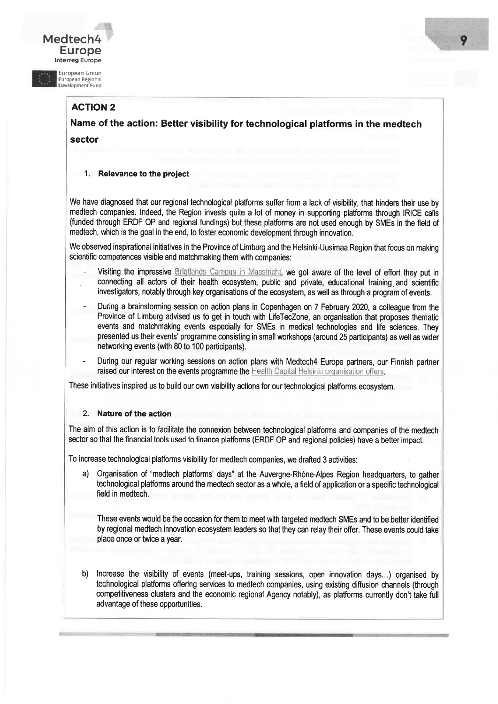#### Medtech<sup>2</sup> Europe lnterreg Europe

European Union :uropean Regional<br>)evelopment Fund

ACTION 2

Name of the action: Better visibility for technological platforms in the medtech sector

#### 1. Relevance to the project

We have diagnosed that our regional technological platforms suffer from a lack of visibility, that hinders their use by medtech companies, lndeed, the Region invests quite a lot of money in supporting platforms through IRICE calls (funded through ERDF OP and regional fundings) but these platforms are not used enough by SMEs in the field of medtech, which is the goal in the end, to foster economic development through innovation.

We observed inspirational initiatives in the Province of Limburg and the Helsinki-Uusimaa Region that focus on making scientific competences visible and matchmaking them with companies:

- Visiting the impressive Briqtlands Campus in Maastricht, we got aware of the level of effort they put in connecting all actors of their health ecosystem, public and private, educational training and scientific investigators, notably through key organisations of the ecosystem, as well as through a program of events,
- During a brainstorming session on action plans in Copenhagen on 7 February 2020, a colleague from the Province of Limburg advised us to get in touch with LifeTecZone, an organisation that proposes thematic events and matchmaking events especially for SMEs in medical technologies and life sciences, They presented us their events' programme consisting in small workshops (around 25 participants) as well as wider networking events (with 80 to 100 participants).
- During our regular working sessions on action plans with Medtech4 Europe partners, our Finnish partner raised our interest on the events programme the Health Capital Helsinki organisation offers.

These initiatives inspired us to build our own visibility actions for our technological platforms ecosystem.

#### 2. Nature of the action

The aim of this action is to facilitate the connexion between technological platforms and companies of the medtech sector so that the financial tools used to finance platforms (ERDF OP and regional policies) have a better impact.

To increase technological platforms visibility for medtech companies, we drafted 3 activities:

a) Organisation of "medtech platforms' days" at the Auvergne-Rhône-Alpes Region headquarters, to gather technological platforms around the medtech sector as a whole, a field of application or a specific technological field in medtech.

These events would be the occasion for them to meet with targeted medtech SMEs and to be better identified by regional medtech innovation ecosystem leaders so that they can relay their offer. These events could take place once or twice a year.

b) lncrease the visibility of events (meet-ups, training sessions, open innovation days...) organised by technological platforms offering services to medtech companies, using existing diffusion channels (through competitiveness clusters and the economic regional Agency notably), as platforms currently don't take full advantage of these opportunities.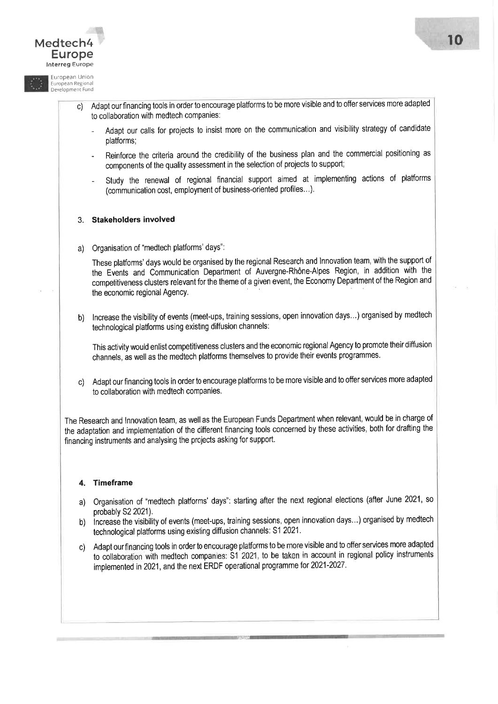

- Study the renewal of regional financial support aimed at implementing actions of platforms (communication cost, employment of business-oriented profiles...).

#### 3. Stakeholders involved

a) Organisation of "medtech platforms' days":

These platforms'days would be organised by the regional Research and lnnovation team, with the support of the Events and Communication Department of Auvergne-Rhône-Alpes Region, in addition with the competitiveness clusters relevant for the theme of a given event, the Economy Department of the Region and the economic regional Agency.

b) Increase the visibility of events (meet-ups, training sessions, open innovation days...) organised by medtech technological platforms using existing diffusion channels:

This activity would enlist competitiveness clusters and the economic regional Agency to promote theirdiffusionchannels, as well as the medtech platforms themselves to provide their events programmes.

c) Adapt our financing tools in order to encourage platforms to be more visible and to offer services more adapted to collaboration with medtech companies.

The Research and lnnovation team, as well as the European Funds Department when relevant, would be in charge of the adaptation and implementation of the different financing tools concerned by these activities, both for drafting the financing instruments and analysing the projects asking for support.

#### 4. Timeframe

ffiisil:::il

- a) Organisation of "medtech platforms'days": starting after the next regional elections (after June 2021, so probably S2 2021).
- b) increase the visibility of events (meet-ups, training sessions, open innovation days...) organised by medtech technological platforms using existing diffusion channels: S1 2021.
- c) Adapt our financing tools in order to encourage platforms to be more visible and to offer services more adapted to collaboration with medtech companies: S1 2021, to be taken in account in regional policy instrument implemented in 2021, and the next ERDF operational programme for 2021-2027 .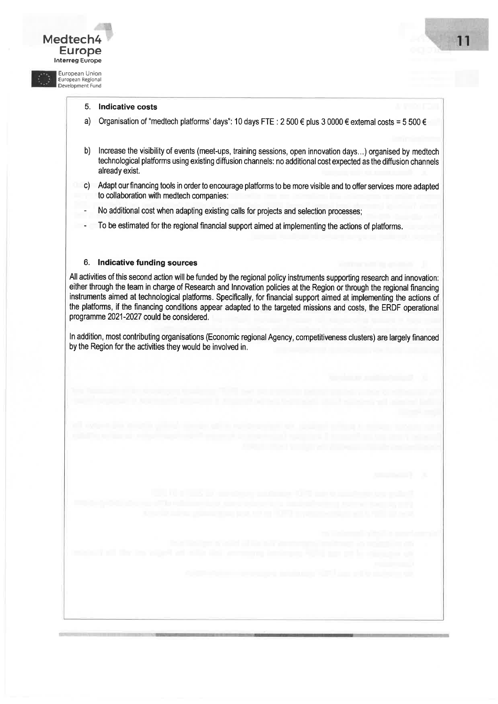#### 5. Indicative costs

Medtech4

**Europe** 

European Union<br>European Regional<br>Development Fund

- a) Organisation of "medtech platforms' days": 10 days FTE: 2500 € plus 3 0000 € extemal costs = 5500 €
- b) lncrease the visibility of events (meet-ups, training sessions, open innovation days...) organised by medtech technological platforms using existing diffusion channels: no additional cost expected as the diffusion channels already exist,
- c) Adapt our financing tools in order to encourage platforms to be more visible and to offer services more adapted to collaboration with medtech companies:
- No additional cost when adapting existing calls for projects and selection processes;
- To be estimated for the regional financial support aimed at implementing the actions of platforms.

#### 6. lndicative funding sources

All activities of this second action will be funded by the regional policy instruments supporting research and innovation: either through the team in charge of Research and lnnovation policies at the Region or through the regional financing instruments aimed at technological platforms. Specifically, for financial support aimed at implementing the actions of the platforms, if the financing conditions appear adapted to the targeted missions and costs, the ERDF operational programme 2021-2027 could be considered.

In addition, most contributing organisations (Economic regional Agency, competitiveness clusters) are largely financed by the Region for the activities they would be involved in,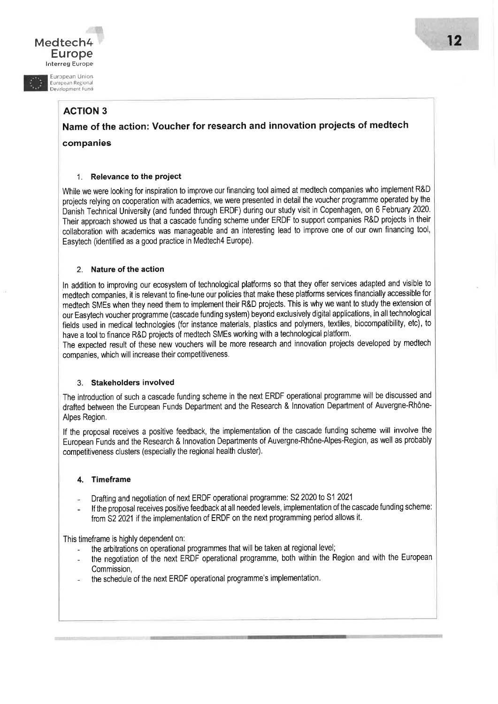#### Medtech4 Europelnterreg Europe

European Union Êuropean Regional Development Fund

#### ACTION 3

 Name of the action: Voucher for research and innovation projects of medtechcompanies

#### 1. Relevance to the project

While we were looking for inspiration to improve our financing tool aimed at medtech companies who implement R&D projects relying on cooperation with academics, we were presented in detail the voucher programme operated by theDanish Technical University (and funded through ERDF) during our study visit in Copenhagen, on 6 February 2020 Their approach showed us that a cascade funding scheme under ERDF to support companies R&D projects in their collaboration with academics was manageable and an interesting lead to improve one of our own financing tool, Easytech (identified as a good practice in Medtech4 Europe).

#### 2. Nature of the action

In addition to improving our ecosystem of technological platforms so that they offer services adapted and visible to medtech companies, it is relevant to fine-tune our policies that make these platforms services financially accessible for medtech SMEs when they need them to implement their R&D projects. This is why we want to study the extension of our Easytech voucher programme (cascade funding system) beyond exclusively digital applications, in all technological fields used in medical technologies (for instance materials, plastics and polymers, textiles, biocompatibility, etc), to have a tool to finance R&D projects of medtech SMEs working with a technological platform.

The expected result of these new vouchers will be more research and innovation projects developed by medtechcompanies, which will increase their competitiveness.

#### 3. Stakeholdersinvolved

The introduction of such a cascade funding scheme in the next ERDF operational programme will be discussed and drafted between the European Funds Department and the Research & lnnovation Department of Auvergne-Rhône-Alpes Region.

lf the proposal receives a positive feedback, the implementation of the cascade funding scheme will involve the European Funds and the Research & lnnovation Departments of Auvergne-Rhône-Alpes-Region, as well as probably competitiveness clusters (especially the regional health cluster).

#### 4. Timeframe

- Drafting and negotiation of next ERDF operational programme: S2 2020 to S1 2021
- lf the proposal receives positive feedback at all needed levels, implementation of the cascade funding scheme: from S2 2021 if the implementation of ERDF on the next programming period allows it.

This timeframe is highly dependent on:

- the arbitrations on operational programmes that will be taken at regional level;
- the negotiation of the next ERDF operational programme, both within the Region and with the European Commission,
- the schedule of the next ERDF operational programme's implementation.

i;i.:. ..!r:jr,- .,, I : ; t-] --, - ..; l :!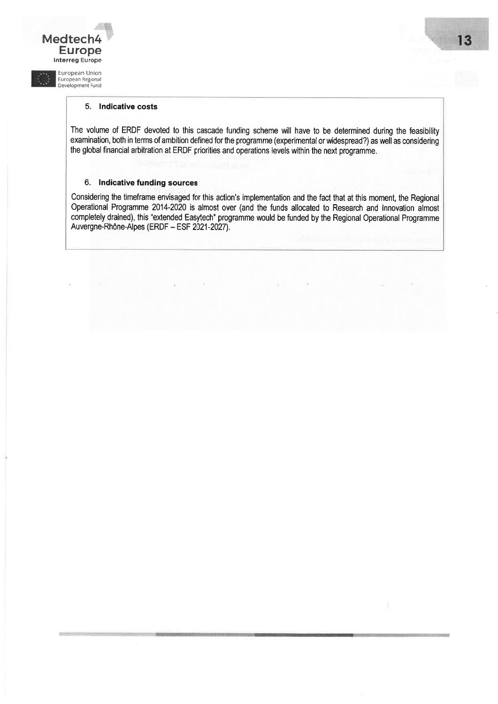#### 5. lndicative costs

E

Medtech4 Europe lnterreg Europe European Union European Regional Development Fund

> The volume of ERDF devoted to this cascade funding scheme will have to be determined during the feasibility examination, both in terms of ambition defined for the programme (experimental or widespread?) as well as considering the global financial arbitration at ERDF priorities and operations levels within the next programme,

#### 6. lndicative funding sources

Considering the timeframe envisaged for this action's implementation and the fact that at this moment, the Regional Operational Programme 2014-2020 is almost over (and the funds allocated to Research and lnnovation almost completely drained), this "extended Easytech" programme would be funded by the Regional Operational Programme Auvergne-Rhône-Alpes (ERDF - ESF 2021-2027).